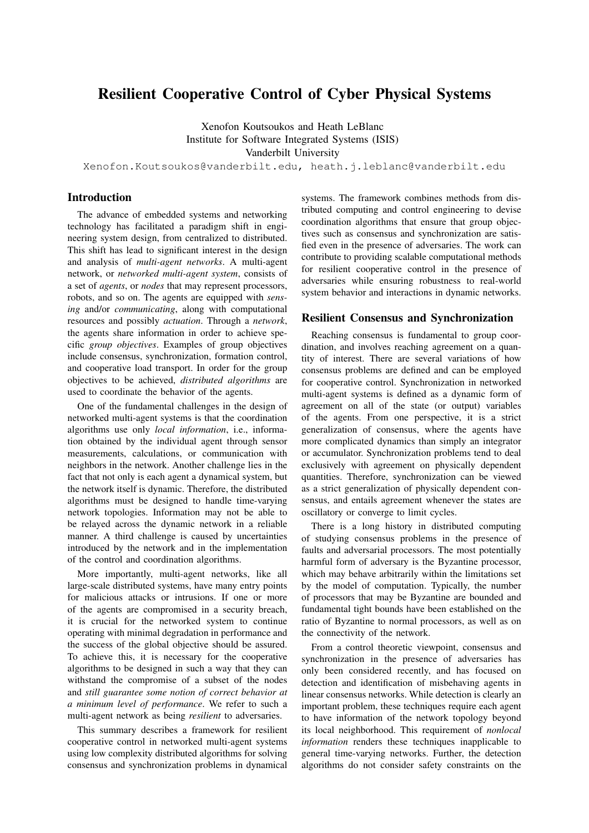# Resilient Cooperative Control of Cyber Physical Systems

Xenofon Koutsoukos and Heath LeBlanc Institute for Software Integrated Systems (ISIS) Vanderbilt University

Xenofon.Koutsoukos@vanderbilt.edu, heath.j.leblanc@vanderbilt.edu

## Introduction

The advance of embedded systems and networking technology has facilitated a paradigm shift in engineering system design, from centralized to distributed. This shift has lead to significant interest in the design and analysis of *multi-agent networks*. A multi-agent network, or *networked multi-agent system*, consists of a set of *agents*, or *nodes* that may represent processors, robots, and so on. The agents are equipped with *sensing* and/or *communicating*, along with computational resources and possibly *actuation*. Through a *network*, the agents share information in order to achieve specific *group objectives*. Examples of group objectives include consensus, synchronization, formation control, and cooperative load transport. In order for the group objectives to be achieved, *distributed algorithms* are used to coordinate the behavior of the agents.

One of the fundamental challenges in the design of networked multi-agent systems is that the coordination algorithms use only *local information*, i.e., information obtained by the individual agent through sensor measurements, calculations, or communication with neighbors in the network. Another challenge lies in the fact that not only is each agent a dynamical system, but the network itself is dynamic. Therefore, the distributed algorithms must be designed to handle time-varying network topologies. Information may not be able to be relayed across the dynamic network in a reliable manner. A third challenge is caused by uncertainties introduced by the network and in the implementation of the control and coordination algorithms.

More importantly, multi-agent networks, like all large-scale distributed systems, have many entry points for malicious attacks or intrusions. If one or more of the agents are compromised in a security breach, it is crucial for the networked system to continue operating with minimal degradation in performance and the success of the global objective should be assured. To achieve this, it is necessary for the cooperative algorithms to be designed in such a way that they can withstand the compromise of a subset of the nodes and *still guarantee some notion of correct behavior at a minimum level of performance*. We refer to such a multi-agent network as being *resilient* to adversaries.

This summary describes a framework for resilient cooperative control in networked multi-agent systems using low complexity distributed algorithms for solving consensus and synchronization problems in dynamical

systems. The framework combines methods from distributed computing and control engineering to devise coordination algorithms that ensure that group objectives such as consensus and synchronization are satisfied even in the presence of adversaries. The work can contribute to providing scalable computational methods for resilient cooperative control in the presence of adversaries while ensuring robustness to real-world system behavior and interactions in dynamic networks.

## Resilient Consensus and Synchronization

Reaching consensus is fundamental to group coordination, and involves reaching agreement on a quantity of interest. There are several variations of how consensus problems are defined and can be employed for cooperative control. Synchronization in networked multi-agent systems is defined as a dynamic form of agreement on all of the state (or output) variables of the agents. From one perspective, it is a strict generalization of consensus, where the agents have more complicated dynamics than simply an integrator or accumulator. Synchronization problems tend to deal exclusively with agreement on physically dependent quantities. Therefore, synchronization can be viewed as a strict generalization of physically dependent consensus, and entails agreement whenever the states are oscillatory or converge to limit cycles.

There is a long history in distributed computing of studying consensus problems in the presence of faults and adversarial processors. The most potentially harmful form of adversary is the Byzantine processor, which may behave arbitrarily within the limitations set by the model of computation. Typically, the number of processors that may be Byzantine are bounded and fundamental tight bounds have been established on the ratio of Byzantine to normal processors, as well as on the connectivity of the network.

From a control theoretic viewpoint, consensus and synchronization in the presence of adversaries has only been considered recently, and has focused on detection and identification of misbehaving agents in linear consensus networks. While detection is clearly an important problem, these techniques require each agent to have information of the network topology beyond its local neighborhood. This requirement of *nonlocal information* renders these techniques inapplicable to general time-varying networks. Further, the detection algorithms do not consider safety constraints on the